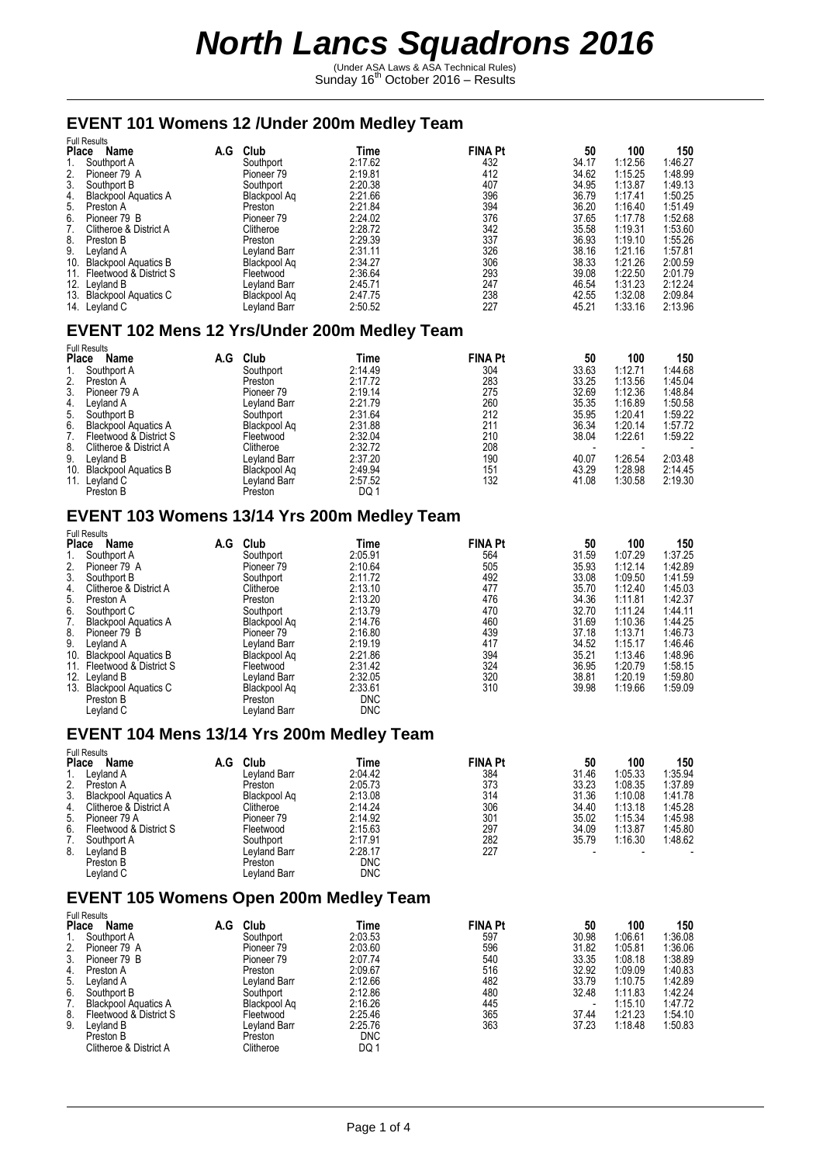(Under ASA Laws & ASA Technical Rules)<br>Sunday 16<sup>th</sup> October 2016 – Results

#### **EVENT 101 Womens 12 /Under 200m Medley Team**

| Name                        | A.G                                                                                                                                                                               |                     |         |                                       |                              |             | 150            |
|-----------------------------|-----------------------------------------------------------------------------------------------------------------------------------------------------------------------------------|---------------------|---------|---------------------------------------|------------------------------|-------------|----------------|
| Southport A                 |                                                                                                                                                                                   | Southport           | 2:17.62 | 432                                   | 34.17                        | 1:12.56     | 1:46.27        |
| Pioneer 79 A                |                                                                                                                                                                                   | Pioneer 79          | 2:19.81 | 412                                   | 34.62                        | 1:15.25     | 1:48.99        |
|                             |                                                                                                                                                                                   | Southport           | 2:20.38 | 407                                   | 34.95                        | 1:13.87     | 1:49.13        |
| <b>Blackpool Aquatics A</b> |                                                                                                                                                                                   | Blackpool Aq        | 2:21.66 | 396                                   | 36.79                        | 1:17.41     | 1:50.25        |
|                             |                                                                                                                                                                                   | Preston             | 2:21.84 | 394                                   | 36.20                        | 1:16.40     | 1:51.49        |
| Pioneer 79 B                |                                                                                                                                                                                   | Pioneer 79          | 2:24.02 | 376                                   | 37.65                        | 1:17.78     | 1:52.68        |
| Clitheroe & District A      |                                                                                                                                                                                   | Clitheroe           | 2:28.72 | 342                                   | 35.58                        | 1:19.31     | 1:53.60        |
|                             |                                                                                                                                                                                   | Preston             | 2:29.39 | 337                                   | 36.93                        | 1:19.10     | 1:55.26        |
|                             |                                                                                                                                                                                   | Leyland Barr        |         |                                       |                              | 1:21.16     | 1:57.81        |
|                             |                                                                                                                                                                                   | Blackpool Aq        | 2:34.27 | 306                                   | 38.33                        | 1:21.26     | 2:00.59        |
|                             |                                                                                                                                                                                   | Fleetwood           |         | 293                                   | 39.08                        |             | 2:01.79        |
|                             |                                                                                                                                                                                   | Leyland Barr        |         |                                       | 46.54                        | 1:31.23     | 2:12.24        |
|                             |                                                                                                                                                                                   | Blackpool Aq        | 2:47.75 | 238                                   | 42.55                        | 1:32.08     | 2:09.84        |
|                             |                                                                                                                                                                                   | <b>Leyland Barr</b> | 2:50.52 | 227                                   | 45.21                        | 1:33.16     | 2:13.96        |
|                             | Place<br>Southport B<br>Preston A<br>Preston B<br>Leyland A<br><b>Blackpool Aquatics B</b><br>Fleetwood & District S<br>12. Leyland B<br><b>Blackpool Aquatics C</b><br>Leyland C | <b>Full Results</b> | Club    | Time<br>2:31.11<br>2:36.64<br>2:45.71 | <b>FINA Pt</b><br>326<br>247 | 50<br>38.16 | 100<br>1:22.50 |

### **EVENT 102 Mens 12 Yrs/Under 200m Medley Team**

|     | <b>Full Results</b>         |     |              |         |                |       |         |         |
|-----|-----------------------------|-----|--------------|---------|----------------|-------|---------|---------|
|     | Name<br><b>Place</b>        | A.G | Club         | Time    | <b>FINA Pt</b> | 50    | 100     | 150     |
|     | Southport A                 |     | Southport    | 2:14.49 | 304            | 33.63 | 1:12.71 | 1:44.68 |
| 2.  | Preston A                   |     | Preston      | 2:17.72 | 283            | 33.25 | 1:13.56 | 1:45.04 |
| 3.  | Pioneer 79 A                |     | Pioneer 79   | 2:19.14 | 275            | 32.69 | 1:12.36 | 1:48.84 |
| 4.  | Leyland A                   |     | Leyland Barr | 2:21.79 | 260            | 35.35 | 1:16.89 | 1:50.58 |
| 5.  | Southport B                 |     | Southport    | 2:31.64 | 212            | 35.95 | 1:20.41 | 1:59.22 |
| 6.  | <b>Blackpool Aquatics A</b> |     | Blackpool Ag | 2:31.88 | 211            | 36.34 | 1:20.14 | 1:57.72 |
|     | Fleetwood & District S      |     | Fleetwood    | 2:32.04 | 210            | 38.04 | 1:22.61 | 1:59.22 |
| 8.  | Clitheroe & District A      |     | Clitheroe    | 2:32.72 | 208            |       |         |         |
| 9.  | Leyland B                   |     | Leyland Barr | 2:37.20 | 190            | 40.07 | 1:26.54 | 2:03.48 |
| 10. | <b>Blackpool Aquatics B</b> |     | Blackpool Ag | 2:49.94 | 151            | 43.29 | 1:28.98 | 2:14.45 |
| 11. | Leyland C                   |     | Leyland Barr | 2:57.52 | 132            | 41.08 | 1:30.58 | 2:19.30 |
|     | Preston B                   |     | Preston      | DQ 1    |                |       |         |         |

### **EVENT 103 Womens 13/14 Yrs 200m Medley Team**

| <b>Full Results</b>                |     |              |            |                |       |         |         |
|------------------------------------|-----|--------------|------------|----------------|-------|---------|---------|
| <b>Place</b><br>Name               | A.G | Club         | Time       | <b>FINA Pt</b> | 50    | 100     | 150     |
| Southport A                        |     | Southport    | 2:05.91    | 564            | 31.59 | 1:07.29 | 1.37.25 |
| 2.<br>Pioneer 79 A                 |     | Pioneer 79   | 2:10.64    | 505            | 35.93 | 1:12.14 | 1:42.89 |
| 3.<br>Southport B                  |     | Southport    | 2:11.72    | 492            | 33.08 | 1:09.50 | 1:41.59 |
| 4.<br>Clitheroe & District A       |     | Clitheroe    | 2:13.10    | 477            | 35.70 | 1:12.40 | 1:45.03 |
| 5.<br>Preston A                    |     | Preston      | 2:13.20    | 476            | 34.36 | 1:11.81 | 1:42.37 |
| 6.<br>Southport C                  |     | Southport    | 2:13.79    | 470            | 32.70 | 1:11.24 | 1:44.11 |
| 7.<br><b>Blackpool Aquatics A</b>  |     | Blackpool Aq | 2:14.76    | 460            | 31.69 | 1:10.36 | 1:44.25 |
| 8.<br>Pioneer 79 B                 |     | Pioneer 79   | 2:16.80    | 439            | 37.18 | 1:13.71 | 1:46.73 |
| 9.<br>Leyland A                    |     | Leyland Barr | 2:19.19    | 417            | 34.52 | 1:15.17 | 1:46.46 |
| 10.<br><b>Blackpool Aquatics B</b> |     | Blackpool Aq | 2:21.86    | 394            | 35.21 | 1:13.46 | 1.48.96 |
| Fleetwood & District S<br>11.      |     | Fleetwood    | 2:31.42    | 324            | 36.95 | 1:20.79 | 1:58.15 |
| 12.<br>Leyland B                   |     | Levland Barr | 2:32.05    | 320            | 38.81 | 1:20.19 | 1:59.80 |
| <b>Blackpool Aquatics C</b><br>13. |     | Blackpool Aq | 2:33.61    | 310            | 39.98 | 1:19.66 | 1:59.09 |
| Preston B                          |     | Preston      | <b>DNC</b> |                |       |         |         |
| Leyland C                          |     | Levland Barr | <b>DNC</b> |                |       |         |         |

#### **EVENT 104 Mens 13/14 Yrs 200m Medley Team**  Full Results

| ี นแ เ งษมเม                      |                    |  |
|-----------------------------------|--------------------|--|
| Place<br><b>Name</b>              | 150<br>100         |  |
| Levland A                         | 1:35.94<br>1:05.33 |  |
| 2.<br>Preston A                   | 1:37.89<br>1:08.35 |  |
| 3.<br><b>Blackpool Aquatics A</b> | 1:10.08<br>1:41.78 |  |
| Clitheroe & District A<br>4.      | 1:45.28<br>1:13.18 |  |
| 5.<br>Pioneer 79 A                | 1:45.98<br>1:15.34 |  |
| 6.<br>Fleetwood & District S      | 1:45.80<br>1:13.87 |  |
| Southport A                       | 1:48.62<br>1:16.30 |  |
| 8.<br>Leyland B                   |                    |  |
| Preston B                         |                    |  |
| Levland C                         |                    |  |
|                                   |                    |  |

#### **EVENT 105 Womens Open 200m Medley Team**

|    | <b>Full Results</b>         |     |              |            |                |       |         |         |
|----|-----------------------------|-----|--------------|------------|----------------|-------|---------|---------|
|    | <b>Place</b><br>Name        | A.G | Club         | Time       | <b>FINA Pt</b> | 50    | 100     | 150     |
|    | Southport A                 |     | Southport    | 2:03.53    | 597            | 30.98 | 1:06.61 | 1:36.08 |
| 2. | Pioneer 79 A                |     | Pioneer 79   | 2:03.60    | 596            | 31.82 | 1:05.81 | 1:36.06 |
| 3. | Pioneer 79 B                |     | Pioneer 79   | 2:07.74    | 540            | 33.35 | 1:08.18 | 1:38.89 |
| 4. | Preston A                   |     | Preston      | 2:09.67    | 516            | 32.92 | 1:09.09 | 1:40.83 |
| 5. | Leyland A                   |     | Leyland Barr | 2:12.66    | 482            | 33.79 | 1:10.75 | 1:42.89 |
| 6. | Southport B                 |     | Southport    | 2:12.86    | 480            | 32.48 | 1:11.83 | 1:42.24 |
| 7. | <b>Blackpool Aquatics A</b> |     | Blackpool Ag | 2:16.26    | 445            |       | 1:15.10 | 1:47.72 |
| 8. | Fleetwood & District S      |     | Fleetwood    | 2:25.46    | 365            | 37.44 | 1:21.23 | 1:54.10 |
| 9. | Leyland B                   |     | Leyland Barr | 2:25.76    | 363            | 37.23 | 1:18.48 | 1:50.83 |
|    | Preston B                   |     | Preston      | <b>DNC</b> |                |       |         |         |
|    | Clitheroe & District A      |     | Clitheroe    | DQ 1       |                |       |         |         |
|    |                             |     |              |            |                |       |         |         |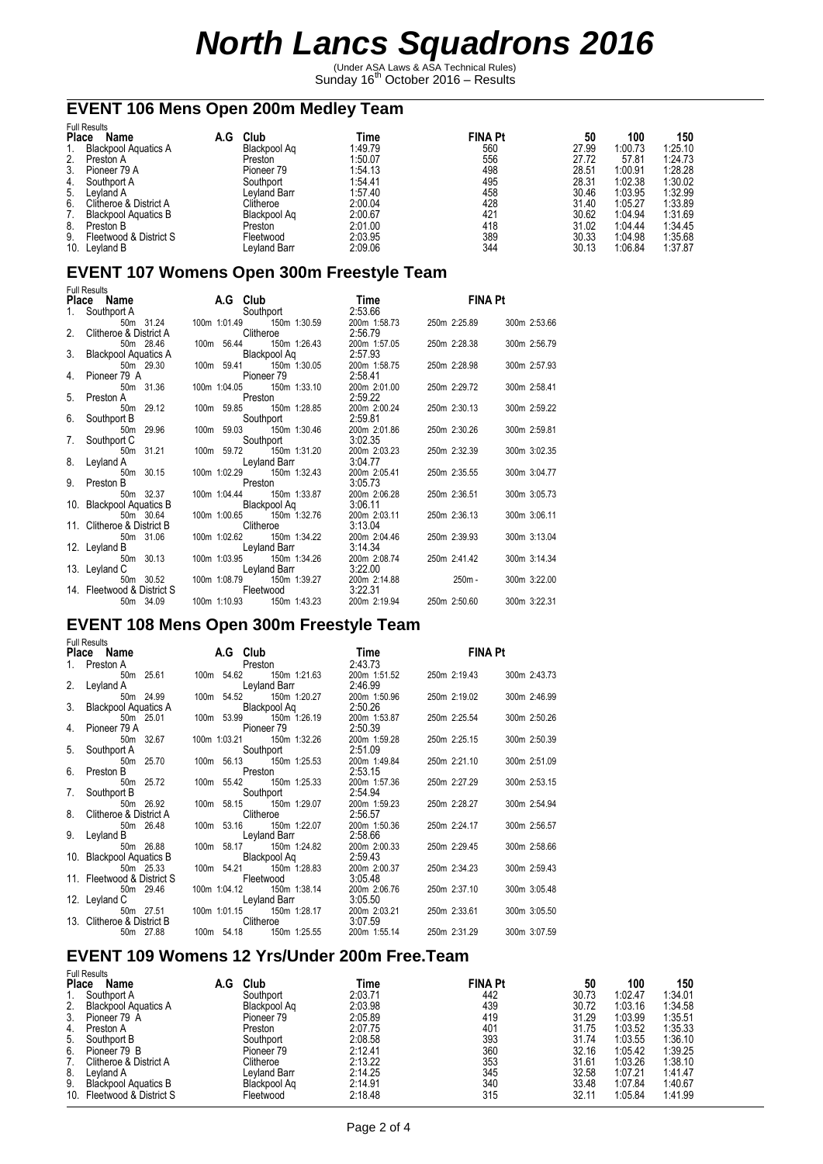(Under ASA Laws & ASA Technical Rules)<br>Sunday 16<sup>th</sup> October 2016 – Results

## **EVENT 106 Mens Open 200m Medley Team**

| <b>Full Results</b> |                             |     |              |         |                |       |         |         |
|---------------------|-----------------------------|-----|--------------|---------|----------------|-------|---------|---------|
| <b>Place</b>        | Name                        | A.G | Club         | Гіmе    | <b>FINA Pt</b> | 50    | 100     | 150     |
|                     | <b>Blackpool Aquatics A</b> |     | Blackpool Ag | 1:49.79 | 560            | 27.99 | 1:00.73 | 1:25.10 |
| 2.                  | Preston A                   |     | Preston      | 1:50.07 | 556            | 27.72 | 57.81   | 1:24.73 |
| 3.                  | Pioneer 79 A                |     | Pioneer 79   | 1:54.13 | 498            | 28.51 | 1:00.91 | 1:28.28 |
| 4.                  | Southport A                 |     | Southport    | 1:54.41 | 495            | 28.31 | 1:02.38 | 1:30.02 |
| 5.                  | Levland A                   |     | Levland Barr | 1:57.40 | 458            | 30.46 | 1:03.95 | 1:32.99 |
| 6.                  | Clitheroe & District A      |     | Clitheroe    | 2:00.04 | 428            | 31.40 | 1:05.27 | 1:33.89 |
|                     | <b>Blackpool Aquatics B</b> |     | Blackpool Ag | 2:00.67 | 421            | 30.62 | 1:04.94 | 1:31.69 |
| 8.                  | Preston B                   |     | Preston      | 2:01.00 | 418            | 31.02 | 1:04.44 | 1:34.45 |
| 9.                  | Fleetwood & District S      |     | Fleetwood    | 2:03.95 | 389            | 30.33 | 1:04.98 | 1:35.68 |
| 10.                 | Leyland B                   |     | Leyland Barr | 2:09.06 | 344            | 30.13 | 1:06.84 | 1:37.87 |

### **EVENT 107 Womens Open 300m Freestyle Team**

|    | <b>Full Results</b>        |                              |                     |              |                |              |  |
|----|----------------------------|------------------------------|---------------------|--------------|----------------|--------------|--|
|    | Place Name A.G Club        |                              | Time                |              | <b>EINA Pt</b> |              |  |
| 1. | Southport A                | Southport                    | 2:53.66             |              |                |              |  |
|    | 50m 31.24                  | 100m 1:01.49 150m 1:30.59    | 200m 1:58.73        |              | 250m 2:25.89   | 300m 2:53.66 |  |
|    | 2. Clitheroe & District A  | Clitheroe                    | 2:56.79             |              |                |              |  |
|    | 50m 28.46                  | 100m 56.44 150m 1:26.43      | 200m 1:57.05        |              | 250m 2:28.38   | 300m 2:56.79 |  |
|    | 3. Blackpool Aquatics A    | Blackpool Aq                 | 2:57.93             |              |                |              |  |
|    | 50m 29.30                  | 100m 59.41 150m 1:30.05      | 200m 1:58.75        |              | 250m 2:28.98   | 300m 2:57.93 |  |
| 4. | Pioneer 79 A               | Pioneer 79                   | 2:58.41             |              |                |              |  |
|    | 50m 31.36                  | 100m 1:04.05  150m 1:33.10   | 200m 2:01.00        |              | 250m 2:29.72   | 300m 2:58.41 |  |
| 5. | Preston A                  | Preston                      | 2:59.22             |              |                |              |  |
|    | 50m 29.12                  | 100m 59.85 150m 1:28.85      | 200m 2:00.24        |              | 250m 2:30.13   | 300m 2:59.22 |  |
| 6. | Southport B                | Southport                    | 2:59.81             |              |                |              |  |
|    | 50m 29.96                  | 100m 59.03 150m 1:30.46      | 200m 2:01.86        |              | 250m 2:30.26   | 300m 2:59.81 |  |
| 7. | Southport C                | Southport                    | 3:02.35             |              |                |              |  |
|    | 50m 31.21                  | 100m 59.72 150m 1:31.20      | 200m 2:03.23        |              | 250m 2:32.39   | 300m 3:02.35 |  |
|    | 8. Leyland A               | Leyland Barr                 | 3:04.77             |              |                |              |  |
|    | 50m 30.15                  | 100m 1:02.29 150m 1:32.43    | 200m 2:05.41        |              | 250m 2:35.55   | 300m 3:04.77 |  |
| 9. | Preston B                  | Preston                      | 3:05.73             |              |                |              |  |
|    | 50m 32.37                  | 100m 1:04.44 150m 1:33.87    | 200m 2:06.28        | 250m 2:36.51 |                | 300m 3:05.73 |  |
|    | 10. Blackpool Aquatics B   | Blackpool Aq                 | 3:06.11             |              |                |              |  |
|    | 50m 30.64                  | 100m 1:00.65 150m 1:32.76    | 200m 2:03.11        |              | 250m 2:36.13   | 300m 3:06.11 |  |
|    | 11. Clitheroe & District B | Clitheroe                    | 3:13.04             |              |                |              |  |
|    | 50m 31.06                  | 100m 1:02.62 150m 1:34.22    | 200m 2:04.46        |              | 250m 2:39.93   | 300m 3:13.04 |  |
|    | 12. Leyland B              | Leyland Barr                 | 3:14.34             |              |                |              |  |
|    | 50m 30.13                  | 100m 1:03.95    150m 1:34.26 | 200m 2:08.74        |              | 250m 2:41.42   | 300m 3:14.34 |  |
|    | 13. Leyland C              | Leyland Barr                 | 3:22.00             |              |                |              |  |
|    | 50m 30.52                  | 100m 1:08.79 150m 1:39.27    | 200m 2:14.88 250m - |              |                | 300m 3:22.00 |  |
|    | 14. Fleetwood & District S | Fleetwood                    | 3:22.31             |              |                |              |  |
|    | 50m 34.09                  | 100m 1:10.93 150m 1:43.23    | 200m 2:19.94        |              | 250m 2:50.60   | 300m 3:22.31 |  |

## **EVENT 108 Mens Open 300m Freestyle Team**

|                | <b>Full Results</b>        |                   |                            |              |              |              |
|----------------|----------------------------|-------------------|----------------------------|--------------|--------------|--------------|
|                | Place Name A.G Club        |                   |                            |              | Time FINA Pt |              |
|                | 1. Preston A               |                   | <b>Example 3 Preston</b>   | 2:43.73      |              |              |
|                | 50m 25.61                  |                   | 100m 54.62 150m 1:21.63    | 200m 1:51.52 | 250m 2:19.43 | 300m 2:43.73 |
|                | 2. Leyland A               |                   | Leyland Barr               | 2:46.99      |              |              |
|                | 50m 24.99                  |                   | 100m 54.52 150m 1:20.27    | 200m 1:50.96 | 250m 2:19.02 | 300m 2:46.99 |
|                | 3. Blackpool Aquatics A    | Blackpool Aq      |                            | 2:50.26      |              |              |
|                | 50m 25.01                  |                   | 100m 53.99 150m 1:26.19    | 200m 1:53.87 | 250m 2:25.54 | 300m 2:50.26 |
| 4 <sup>1</sup> | Pioneer 79 A               | <b>Pioneer 79</b> |                            | 2:50.39      |              |              |
|                | 50m 32.67                  |                   | 100m 1:03.21 150m 1:32.26  | 200m 1:59.28 | 250m 2:25.15 | 300m 2:50.39 |
|                | 5. Southport A             |                   | Southport                  | 2:51.09      |              |              |
|                | 50m 25.70                  |                   | 100m 56.13 150m 1:25.53    | 200m 1:49.84 | 250m 2:21.10 | 300m 2:51.09 |
| 6.             | Preston B                  | Preston           |                            | 2:53.15      |              |              |
|                | 50m 25.72                  |                   | 100m 55.42 150m 1:25.33    | 200m 1:57.36 | 250m 2:27.29 | 300m 2:53.15 |
| 7.             | Southport B                |                   | Southport                  | 2:54.94      |              |              |
|                | 50m 26.92                  |                   | 100m 58.15 150m 1:29.07    | 200m 1:59.23 | 250m 2:28.27 | 300m 2:54.94 |
|                | 8. Clitheroe & District A  |                   | Clitheroe                  | 2:56.57      |              |              |
|                | 50m 26.48                  |                   | 100m 53.16 150m 1:22.07    | 200m 1:50.36 | 250m 2:24.17 | 300m 2:56.57 |
|                | 9. Leyland B               | Leyland Barr      |                            | 2:58.66      |              |              |
|                | 50m 26.88                  |                   | 100m 58.17 150m 1:24.82    | 200m 2:00.33 | 250m 2:29.45 | 300m 2:58.66 |
|                | 10. Blackpool Aquatics B   |                   | <b>Blackpool Aq</b>        | 2:59.43      |              |              |
|                | 50m 25.33                  |                   | 100m 54.21 150m 1:28.83    | 200m 2:00.37 | 250m 2:34.23 | 300m 2:59.43 |
|                | 11. Fleetwood & District S | Fleetwood         |                            | 3:05.48      |              |              |
|                | 50m 29.46                  |                   | 100m 1:04.12  150m 1:38.14 | 200m 2:06.76 | 250m 2:37.10 | 300m 3:05.48 |
|                | 12. Leyland C              | Leyland Barr      |                            | 3:05.50      |              |              |
|                | 50m 27.51                  |                   | 100m 1:01.15 150m 1:28.17  | 200m 2:03.21 | 250m 2:33.61 | 300m 3:05.50 |
|                | 13. Clitheroe & District B | <b>Clitheroe</b>  |                            | 3:07.59      |              |              |
|                | 50m 27.88                  |                   | 100m 54.18 150m 1:25.55    | 200m 1:55.14 | 250m 2:31.29 | 300m 3:07.59 |

#### **EVENT 109 Womens 12 Yrs/Under 200m Free.Team**

|              | <b>Full Results</b>         |     |              |         |                |       |         |         |
|--------------|-----------------------------|-----|--------------|---------|----------------|-------|---------|---------|
| <b>Place</b> | Name                        | A.G | Club         | Time    | <b>FINA Pt</b> | 50    | 100     | 150     |
|              | Southport A                 |     | Southport    | 2:03.71 | 442            | 30.73 | 1:02.47 | 1:34.01 |
| 2.           | <b>Blackpool Aquatics A</b> |     | Blackpool Ag | 2:03.98 | 439            | 30.72 | 1:03.16 | 1:34.58 |
| 3.           | Pioneer 79 A                |     | Pioneer 79   | 2:05.89 | 419            | 31.29 | 1:03.99 | 1:35.51 |
| 4.           | Preston A                   |     | Preston      | 2:07.75 | 401            | 31.75 | 1:03.52 | 1:35.33 |
| 5.           | Southport B                 |     | Southport    | 2:08.58 | 393            | 31.74 | 1:03.55 | 1:36.10 |
| 6.           | Pioneer 79 B                |     | Pioneer 79   | 2:12.41 | 360            | 32.16 | 1:05.42 | 1:39.25 |
|              | Clitheroe & District A      |     | Clitheroe    | 2:13.22 | 353            | 31.61 | 1:03.26 | 1:38.10 |
| 8.           | Leyland A                   |     | Leyland Barr | 2:14.25 | 345            | 32.58 | 1:07.21 | 1:41.47 |
| 9.           | <b>Blackpool Aquatics B</b> |     | Blackpool Ag | 2:14.91 | 340            | 33.48 | 1:07.84 | 1:40.67 |
|              | 10. Fleetwood & District S  |     | Fleetwood    | 2:18.48 | 315            | 32.11 | 1:05.84 | 1:41.99 |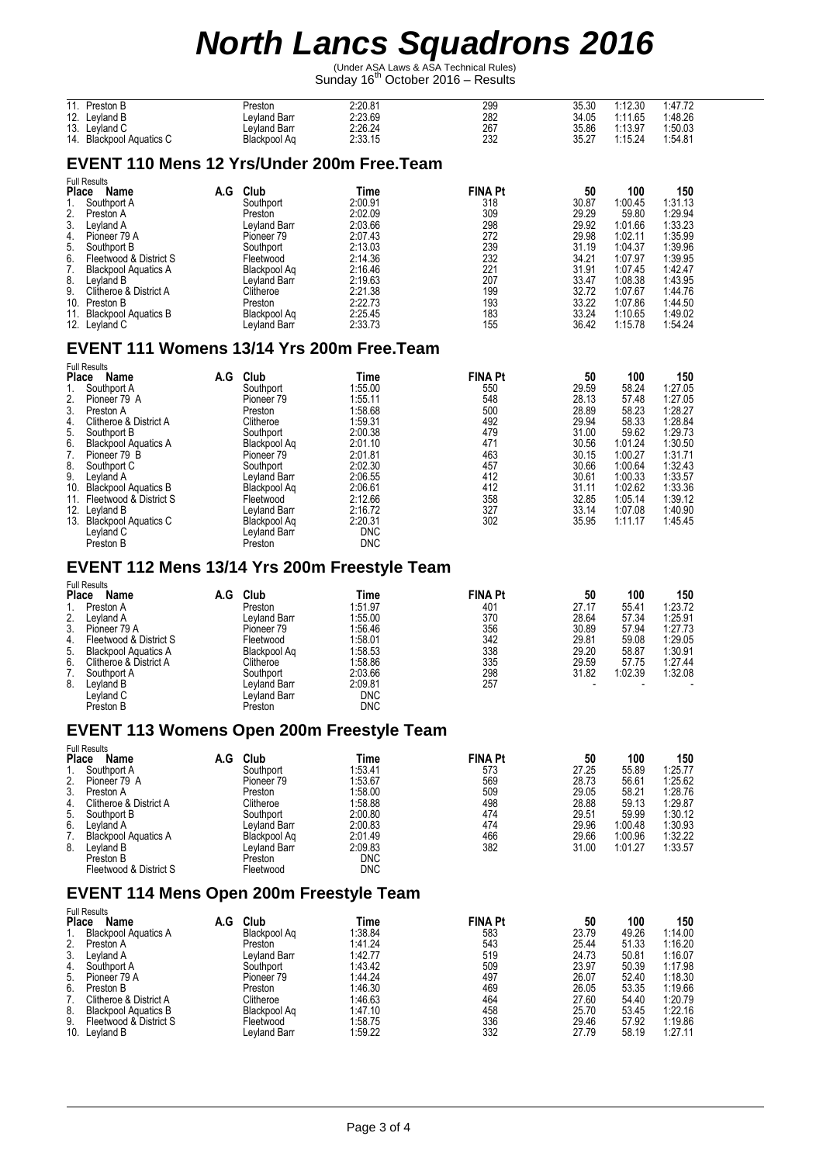(Under ASA Laws & ASA Technical Rules)<br>Sunday 16<sup>th</sup> October 2016 – Results

| 44<br>Preston B<br>.              | Preston      | 2:20.81 | 299 | 35.30 | :12.30  | 1:47.72 |  |
|-----------------------------------|--------------|---------|-----|-------|---------|---------|--|
| 10<br>Levland B<br>IZ.            | Levland Barr | 2:23.69 | 282 | 34.05 | 1:11.65 | 1:48.26 |  |
| 12<br>Levland C<br>.ن ۱           | Levland Barr | 2:26.24 | 267 | 35.86 | 1:13.97 | 1:50.03 |  |
| <b>Blackpool Aquatics C</b><br>14 | Blackpool Ag | 2:33.15 | 232 | 35.27 | :15.24  | 1:54.81 |  |

### **EVENT 110 Mens 12 Yrs/Under 200m Free.Team**

|              | <b>Full Results</b>         |     |                     |         |                |       |         |         |
|--------------|-----------------------------|-----|---------------------|---------|----------------|-------|---------|---------|
| <b>Place</b> | Name                        | A.G | Club                | Time    | <b>FINA Pt</b> | 50    | 100     | 150     |
|              | Southport A                 |     | Southport           | 2:00.91 | 318            | 30.87 | 1:00.45 | 1:31.13 |
| 2.           | Preston A                   |     | Preston             | 2:02.09 | 309            | 29.29 | 59.80   | 1:29.94 |
| 3.           | Leyland A                   |     | Leyland Barr        | 2:03.66 | 298            | 29.92 | 1:01.66 | 1:33.23 |
| 4.           | Pioneer 79 A                |     | Pioneer 79          | 2:07.43 | 272            | 29.98 | 1:02.11 | 1:35.99 |
| 5.           | Southport B                 |     | Southport           | 2:13.03 | 239            | 31.19 | 1:04.37 | 1:39.96 |
| 6.           | Fleetwood & District S      |     | Fleetwood           | 2:14.36 | 232            | 34.21 | 1:07.97 | 1:39.95 |
| 7.           | <b>Blackpool Aquatics A</b> |     | Blackpool Ag        | 2:16.46 | 221            | 31.91 | 1:07.45 | 1:42.47 |
| 8.           | Leyland B                   |     | Leyland Barr        | 2:19.63 | 207            | 33.47 | 1:08.38 | 1:43.95 |
| 9.           | Clitheroe & District A      |     | Clitheroe           | 2:21.38 | 199            | 32.72 | 1:07.67 | 1:44.76 |
| 10.          | Preston B                   |     | Preston             | 2:22.73 | 193            | 33.22 | 1:07.86 | 1:44.50 |
| 11.          | <b>Blackpool Aquatics B</b> |     | Blackpool Ag        | 2:25.45 | 183            | 33.24 | 1:10.65 | 1:49.02 |
| 12.          | Leyland C                   |     | <b>Levland Barr</b> | 2:33.73 | 155            | 36.42 | 1:15.78 | 1:54.24 |

### **EVENT 111 Womens 13/14 Yrs 200m Free.Team**

| <b>Full Results</b> |                             |                     |              |            |  |                |       |    |         |         |
|---------------------|-----------------------------|---------------------|--------------|------------|--|----------------|-------|----|---------|---------|
| <b>Place</b>        | <b>Name</b>                 | Club<br>A.G         |              | Time       |  | <b>FINA Pt</b> |       | 50 | 100     | 150     |
|                     | Southport A                 | Southport           |              | 1:55.00    |  | 550            | 29.59 |    | 58.24   | 1:27.05 |
| 2.                  | Pioneer 79 A                | Pioneer 79          |              | 1:55.11    |  | 548            | 28.13 |    | 57.48   | 1:27.05 |
| 3.                  | Preston A                   | Preston             |              | 1:58.68    |  | 500            | 28.89 |    | 58.23   | 1:28.27 |
| 4.                  | Clitheroe & District A      | Clitheroe           |              | 1:59.31    |  | 492            | 29.94 |    | 58.33   | 1:28.84 |
| 5.                  | Southport B                 | Southport           |              | 2:00.38    |  | 479            | 31.00 |    | 59.62   | 1:29.73 |
| 6.                  | <b>Blackpool Aquatics A</b> |                     | Blackpool Aq | 2:01.10    |  | 471            | 30.56 |    | 1:01.24 | 1:30.50 |
|                     | Pioneer 79 B                | Pioneer 79          |              | 2:01.81    |  | 463            | 30.15 |    | 1:00.27 | 1:31.71 |
| 8.                  | Southport C                 | Southport           |              | 2:02.30    |  | 457            | 30.66 |    | 1:00.64 | 1:32.43 |
| 9.                  | Levland A                   |                     | Leyland Barr | 2:06.55    |  | 412            | 30.61 |    | 1:00.33 | 1:33.57 |
| 10.                 | <b>Blackpool Aquatics B</b> |                     | Blackpool Aq | 2:06.61    |  | 412            | 31.11 |    | 1:02.62 | 1:33.36 |
| 11.                 | Fleetwood & District S      | Fleetwood           |              | 2:12.66    |  | 358            | 32.85 |    | 1:05.14 | 1:39.12 |
| 12.                 | Leyland B                   | <b>Levland Barr</b> |              | 2:16.72    |  | 327            | 33.14 |    | 1:07.08 | 1:40.90 |
| 13.                 | <b>Blackpool Aquatics C</b> |                     | Blackpool Aq | 2:20.31    |  | 302            | 35.95 |    | 1:11.17 | 1:45.45 |
|                     | Leyland C                   |                     | Leyland Barr | <b>DNC</b> |  |                |       |    |         |         |
|                     | Preston B                   | Preston             |              | <b>DNC</b> |  |                |       |    |         |         |

#### **EVENT 112 Mens 13/14 Yrs 200m Freestyle Team**

|    | <b>Full Results</b>         |     |                       |            |                |       |         |         |
|----|-----------------------------|-----|-----------------------|------------|----------------|-------|---------|---------|
|    | <b>Place</b><br>Name        | A.G | Club                  | Time       | <b>FINA Pt</b> | 50    | 100     | 150     |
|    | Preston A                   |     | Preston               | 1:51.97    | 401            | 27.17 | 55.41   | 1:23.72 |
| 2. | Leyland A                   |     | Levland Barr          | 1:55.00    | 370            | 28.64 | 57.34   | 1:25.91 |
| 3. | Pioneer 79 A                |     | Pioneer <sub>79</sub> | 1:56.46    | 356            | 30.89 | 57.94   | 1:27.73 |
| 4. | Fleetwood & District S      |     | Fleetwood             | 1:58.01    | 342            | 29.81 | 59.08   | 1:29.05 |
| 5. | <b>Blackpool Aquatics A</b> |     | Blackpool Ag          | 1:58.53    | 338            | 29.20 | 58.87   | 1:30.91 |
| 6. | Clitheroe & District A      |     | Clitheroe             | 1:58.86    | 335            | 29.59 | 57.75   | 1:27.44 |
|    | Southport A                 |     | Southport             | 2:03.66    | 298            | 31.82 | 1:02.39 | 1:32.08 |
| 8. | Leyland B                   |     | Levland Barr          | 2:09.81    | 257            |       |         |         |
|    | Leyland C                   |     | Levland Barr          | <b>DNC</b> |                |       |         |         |
|    | Preston B                   |     | Preston               | <b>DNC</b> |                |       |         |         |

#### **EVENT 113 Womens Open 200m Freestyle Team**

| A.G | Club                                                                                                                                  | Time         |     | 50             | 100     | 150     |
|-----|---------------------------------------------------------------------------------------------------------------------------------------|--------------|-----|----------------|---------|---------|
|     | Southport                                                                                                                             | 1:53.41      | 573 | 27.25          | 55.89   | 1:25.77 |
|     | Pioneer 79                                                                                                                            | 1:53.67      | 569 | 28.73          | 56.61   | 1:25.62 |
|     | Preston                                                                                                                               | 1:58.00      | 509 | 29.05          | 58.21   | 1:28.76 |
|     | Clitheroe                                                                                                                             | 1:58.88      | 498 | 28.88          | 59.13   | 1:29.87 |
|     | Southport                                                                                                                             | 2:00.80      | 474 | 29.51          | 59.99   | 1:30.12 |
|     |                                                                                                                                       | 2:00.83      | 474 | 29.96          | 1:00.48 | 1:30.93 |
|     | Blackpool Ag                                                                                                                          | 2:01.49      | 466 | 29.66          | 1:00.96 | 1:32.22 |
|     | Levland Barr                                                                                                                          | 2:09.83      | 382 | 31.00          | 1:01.27 | 1:33.57 |
|     | Preston                                                                                                                               | <b>DNC</b>   |     |                |         |         |
|     | Fleetwood                                                                                                                             | <b>DNC</b>   |     |                |         |         |
|     | Name<br>Southport A<br>Pioneer 79 A<br>Clitheroe & District A<br>Southport B<br><b>Blackpool Aquatics A</b><br>Fleetwood & District S | Leyland Barr |     | <b>FINA Pt</b> |         |         |

#### **EVENT 114 Mens Open 200m Freestyle Team**

| <b>Place</b> | <b>Full Results</b><br>Name | A.G | Club         | Time    | <b>FINA Pt</b> | 50    | 100   | 150     |
|--------------|-----------------------------|-----|--------------|---------|----------------|-------|-------|---------|
|              | <b>Blackpool Aquatics A</b> |     | Blackpool Ag | 1:38.84 | 583            | 23.79 | 49.26 | 1:14.00 |
| 2.           | Preston A                   |     | Preston      | 1:41.24 | 543            | 25.44 | 51.33 | 1:16.20 |
| 3.           | Levland A                   |     | Levland Barr | 1:42.77 | 519            | 24.73 | 50.81 | 1:16.07 |
| 4.           | Southport A                 |     | Southport    | 1:43.42 | 509            | 23.97 | 50.39 | 1:17.98 |
| 5.           | Pioneer 79 A                |     | Pioneer 79   | 1:44.24 | 497            | 26.07 | 52.40 | 1:18.30 |
| 6.           | Preston B                   |     | Preston      | 1:46.30 | 469            | 26.05 | 53.35 | 1:19.66 |
|              | Clitheroe & District A      |     | Clitheroe    | 1:46.63 | 464            | 27.60 | 54.40 | 1:20.79 |
| 8.           | <b>Blackpool Aquatics B</b> |     | Blackpool Ag | 1:47.10 | 458            | 25.70 | 53.45 | 1:22.16 |
| 9.           | Fleetwood & District S      |     | Fleetwood    | 1:58.75 | 336            | 29.46 | 57.92 | 1:19.86 |
|              | 10. Leyland B               |     | Levland Barr | 1:59.22 | 332            | 27.79 | 58.19 | 1:27.11 |